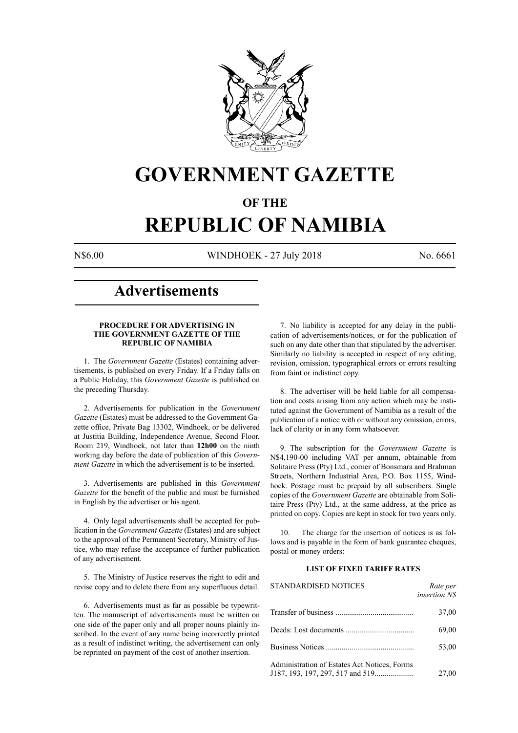

# **GOVERNMENT GAZETTE**

### **OF THE**

# **REPUBLIC OF NAMIBIA**

N\$6.00 WINDHOEK - 27 July 2018 No. 6661

## **Advertisements**

#### **PROCEDURE FOR ADVERTISING IN THE GOVERNMENT GAZETTE OF THE REPUBLIC OF NAMIBIA**

1. The *Government Gazette* (Estates) containing advertisements, is published on every Friday. If a Friday falls on a Public Holiday, this *Government Gazette* is published on the preceding Thursday.

2. Advertisements for publication in the *Government Gazette* (Estates) must be addressed to the Government Gazette office, Private Bag 13302, Windhoek, or be delivered at Justitia Building, Independence Avenue, Second Floor, Room 219, Windhoek, not later than **12h00** on the ninth working day before the date of publication of this *Government Gazette* in which the advertisement is to be inserted.

3. Advertisements are published in this *Government Gazette* for the benefit of the public and must be furnished in English by the advertiser or his agent.

4. Only legal advertisements shall be accepted for publication in the *Government Gazette* (Estates) and are subject to the approval of the Permanent Secretary, Ministry of Justice, who may refuse the acceptance of further publication of any advertisement.

5. The Ministry of Justice reserves the right to edit and revise copy and to delete there from any superfluous detail.

6. Advertisements must as far as possible be typewritten. The manuscript of advertisements must be written on one side of the paper only and all proper nouns plainly inscribed. In the event of any name being incorrectly printed as a result of indistinct writing, the advertisement can only be reprinted on payment of the cost of another insertion.

7. No liability is accepted for any delay in the publication of advertisements/notices, or for the publication of such on any date other than that stipulated by the advertiser. Similarly no liability is accepted in respect of any editing, revision, omission, typographical errors or errors resulting from faint or indistinct copy.

8. The advertiser will be held liable for all compensation and costs arising from any action which may be instituted against the Government of Namibia as a result of the publication of a notice with or without any omission, errors, lack of clarity or in any form whatsoever.

9. The subscription for the *Government Gazette* is N\$4,190-00 including VAT per annum, obtainable from Solitaire Press (Pty) Ltd., corner of Bonsmara and Brahman Streets, Northern Industrial Area, P.O. Box 1155, Windhoek. Postage must be prepaid by all subscribers. Single copies of the *Government Gazette* are obtainable from Solitaire Press (Pty) Ltd., at the same address, at the price as printed on copy. Copies are kept in stock for two years only.

10. The charge for the insertion of notices is as follows and is payable in the form of bank guarantee cheques, postal or money orders:

#### **LIST OF FIXED TARIFF RATES**

| <b>STANDARDISED NOTICES</b>                  | Rate per<br><i>insertion NS</i> |
|----------------------------------------------|---------------------------------|
|                                              | 37,00                           |
|                                              | 69,00                           |
|                                              | 53,00                           |
| Administration of Estates Act Notices, Forms | 27,00                           |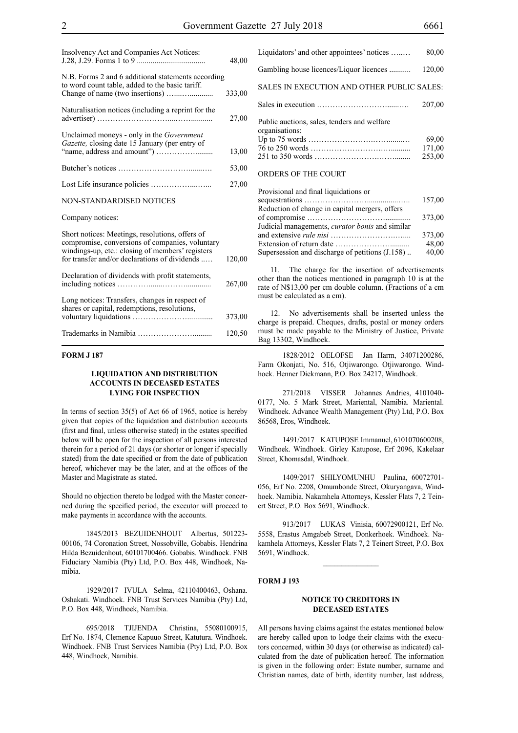| Insolvency Act and Companies Act Notices:                                                                                                                                                               | 48,00  |
|---------------------------------------------------------------------------------------------------------------------------------------------------------------------------------------------------------|--------|
| N.B. Forms 2 and 6 additional statements according<br>to word count table, added to the basic tariff.                                                                                                   | 333,00 |
| Naturalisation notices (including a reprint for the                                                                                                                                                     | 27,00  |
| Unclaimed moneys - only in the Government<br>Gazette, closing date 15 January (per entry of                                                                                                             | 13,00  |
|                                                                                                                                                                                                         | 53,00  |
|                                                                                                                                                                                                         | 27,00  |
| <b>NON-STANDARDISED NOTICES</b>                                                                                                                                                                         |        |
| Company notices:                                                                                                                                                                                        |        |
| Short notices: Meetings, resolutions, offers of<br>compromise, conversions of companies, voluntary<br>windings-up, etc.: closing of members' registers<br>for transfer and/or declarations of dividends | 120,00 |
| Declaration of dividends with profit statements,                                                                                                                                                        | 267,00 |
| Long notices: Transfers, changes in respect of<br>shares or capital, redemptions, resolutions,                                                                                                          | 373,00 |
|                                                                                                                                                                                                         | 120,50 |

#### **FORM J 187**

#### **LIQUIDATION AND DISTRIBUTION ACCOUNTS IN DECEASED ESTATES LYING FOR INSPECTION**

In terms of section 35(5) of Act 66 of 1965, notice is hereby given that copies of the liquidation and distribution accounts (first and final, unless otherwise stated) in the estates specified below will be open for the inspection of all persons interested therein for a period of 21 days (or shorter or longer if specially stated) from the date specified or from the date of publication hereof, whichever may be the later, and at the offices of the Master and Magistrate as stated.

Should no objection thereto be lodged with the Master concerned during the specified period, the executor will proceed to make payments in accordance with the accounts.

1845/2013 BEZUIDENHOUT Albertus, 501223- 00106, 74 Coronation Street, Nossobville, Gobabis. Hendrina Hilda Bezuidenhout, 60101700466. Gobabis. Windhoek. FNB Fiduciary Namibia (Pty) Ltd, P.O. Box 448, Windhoek, Namibia.

1929/2017 IVULA Selma, 42110400463, Oshana. Oshakati. Windhoek. FNB Trust Services Namibia (Pty) Ltd, P.O. Box 448, Windhoek, Namibia.

695/2018 TJIJENDA Christina, 55080100915, Erf No. 1874, Clemence Kapuuo Street, Katutura. Windhoek. Windhoek. FNB Trust Services Namibia (Pty) Ltd, P.O. Box 448, Windhoek, Namibia.

| Liquidators' and other appointees' notices                    | 80,00                     |
|---------------------------------------------------------------|---------------------------|
| Gambling house licences/Liquor licences                       | 120,00                    |
| SALES IN EXECUTION AND OTHER PUBLIC SALES:                    |                           |
|                                                               | 207,00                    |
| Public auctions, sales, tenders and welfare<br>organisations: | 69,00<br>171,00<br>253,00 |
| ORDERS OF THE COURT                                           |                           |

| Provisional and final liquidations or                  |        |
|--------------------------------------------------------|--------|
|                                                        | 157,00 |
| Reduction of change in capital mergers, offers         |        |
|                                                        | 373,00 |
| Judicial managements, <i>curator bonis</i> and similar |        |
|                                                        | 373,00 |
|                                                        | 48.00  |
| Supersession and discharge of petitions (J.158)        | 40,00  |
|                                                        |        |

11. The charge for the insertion of advertisements other than the notices mentioned in paragraph 10 is at the rate of N\$13,00 per cm double column. (Fractions of a cm must be calculated as a cm).

12. No advertisements shall be inserted unless the charge is prepaid. Cheques, drafts, postal or money orders must be made payable to the Ministry of Justice, Private Bag 13302, Windhoek.

1828/2012 OELOFSE Jan Harm, 34071200286, Farm Okonjati, No. 516, Otjiwarongo. Otjiwarongo. Windhoek. Henner Diekmann, P.O. Box 24217, Windhoek.

271/2018 VISSER Johannes Andries, 4101040- 0177, No. 5 Mark Street, Mariental, Namibia. Mariental. Windhoek. Advance Wealth Management (Pty) Ltd, P.O. Box 86568, Eros, Windhoek.

1491/2017 KATUPOSE Immanuel, 6101070600208, Windhoek. Windhoek. Girley Katupose, Erf 2096, Kakelaar Street, Khomasdal, Windhoek.

1409/2017 SHILYOMUNHU Paulina, 60072701- 056, Erf No. 2208, Omumbonde Street, Okuryangava, Windhoek. Namibia. Nakamhela Attorneys, Kessler Flats 7, 2 Teinert Street, P.O. Box 5691, Windhoek.

913/2017 LUKAS Vinisia, 60072900121, Erf No. 5558, Erastus Amgabeb Street, Donkerhoek. Windhoek. Nakamhela Attorneys, Kessler Flats 7, 2 Teinert Street, P.O. Box 5691, Windhoek.

 $\frac{1}{2}$ 

#### **FORM J 193**

#### **NOTICE TO CREDITORS IN DECEASED ESTATES**

All persons having claims against the estates mentioned below are hereby called upon to lodge their claims with the executors concerned, within 30 days (or otherwise as indicated) calculated from the date of publication hereof. The information is given in the following order: Estate number, surname and Christian names, date of birth, identity number, last address,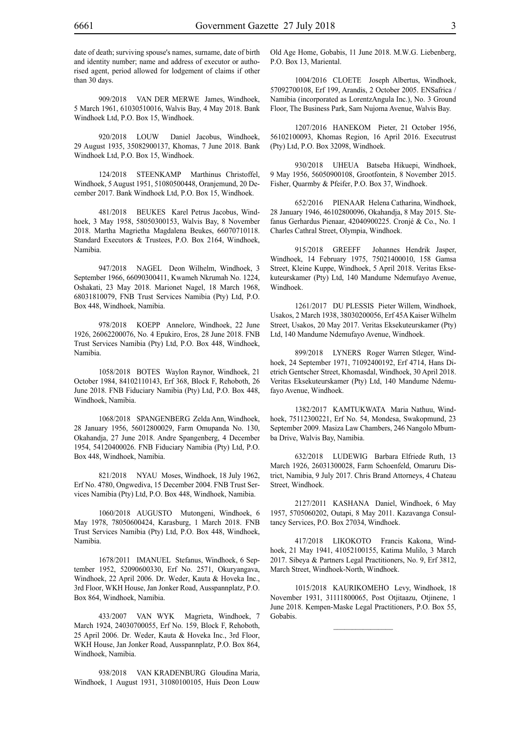date of death; surviving spouse's names, surname, date of birth and identity number; name and address of executor or authorised agent, period allowed for lodgement of claims if other than 30 days.

909/2018 VAN DER MERWE James, Windhoek, 5 March 1961, 61030510016, Walvis Bay, 4 May 2018. Bank Windhoek Ltd, P.O. Box 15, Windhoek.

920/2018 LOUW Daniel Jacobus, Windhoek, 29 August 1935, 35082900137, Khomas, 7 June 2018. Bank Windhoek Ltd, P.O. Box 15, Windhoek.

124/2018 STEENKAMP Marthinus Christoffel, Windhoek, 5 August 1951, 51080500448, Oranjemund, 20 December 2017. Bank Windhoek Ltd, P.O. Box 15, Windhoek.

481/2018 BEUKES Karel Petrus Jacobus, Windhoek, 3 May 1958, 58050300153, Walvis Bay, 8 November 2018. Martha Magrietha Magdalena Beukes, 66070710118. Standard Executors & Trustees, P.O. Box 2164, Windhoek, Namibia.

947/2018 NAGEL Deon Wilhelm, Windhoek, 3 September 1966, 66090300411, Kwameh Nkrumah No. 1224, Oshakati, 23 May 2018. Marionet Nagel, 18 March 1968, 68031810079, FNB Trust Services Namibia (Pty) Ltd, P.O. Box 448, Windhoek, Namibia.

978/2018 KOEPP Annelore, Windhoek, 22 June 1926, 26062200076, No. 4 Epukiro, Eros, 28 June 2018. FNB Trust Services Namibia (Pty) Ltd, P.O. Box 448, Windhoek, Namibia.

1058/2018 BOTES Waylon Raynor, Windhoek, 21 October 1984, 84102110143, Erf 368, Block F, Rehoboth, 26 June 2018. FNB Fiduciary Namibia (Pty) Ltd, P.O. Box 448, Windhoek, Namibia.

1068/2018 SPANGENBERG Zelda Ann, Windhoek, 28 January 1956, 56012800029, Farm Omupanda No. 130, Okahandja, 27 June 2018. Andre Spangenberg, 4 December 1954, 54120400026. FNB Fiduciary Namibia (Pty) Ltd, P.O. Box 448, Windhoek, Namibia.

821/2018 NYAU Moses, Windhoek, 18 July 1962, Erf No. 4780, Ongwediva, 15 December 2004. FNB Trust Services Namibia (Pty) Ltd, P.O. Box 448, Windhoek, Namibia.

1060/2018 AUGUSTO Mutongeni, Windhoek, 6 May 1978, 78050600424, Karasburg, 1 March 2018. FNB Trust Services Namibia (Pty) Ltd, P.O. Box 448, Windhoek, Namibia.

1678/2011 IMANUEL Stefanus, Windhoek, 6 September 1952, 52090600330, Erf No. 2571, Okuryangava, Windhoek, 22 April 2006. Dr. Weder, Kauta & Hoveka Inc., 3rd Floor, WKH House, Jan Jonker Road, Ausspannplatz, P.O. Box 864, Windhoek, Namibia.

433/2007 VAN WYK Magrieta, Windhoek, 7 March 1924, 24030700055, Erf No. 159, Block F, Rehoboth, 25 April 2006. Dr. Weder, Kauta & Hoveka Inc., 3rd Floor, WKH House, Jan Jonker Road, Ausspannplatz, P.O. Box 864, Windhoek, Namibia.

938/2018 VAN KRADENBURG Gloudina Maria, Windhoek, 1 August 1931, 31080100105, Huis Deon Louw Old Age Home, Gobabis, 11 June 2018. M.W.G. Liebenberg, P.O. Box 13, Mariental.

1004/2016 CLOETE Joseph Albertus, Windhoek, 57092700108, Erf 199, Arandis, 2 October 2005. ENSafrica / Namibia (incorporated as LorentzAngula Inc.), No. 3 Ground Floor, The Business Park, Sam Nujoma Avenue, Walvis Bay.

1207/2016 HANEKOM Pieter, 21 October 1956, 56102100093, Khomas Region, 16 April 2016. Executrust (Pty) Ltd, P.O. Box 32098, Windhoek.

930/2018 UHEUA Batseba Hikuepi, Windhoek, 9 May 1956, 56050900108, Grootfontein, 8 November 2015. Fisher, Quarmby & Pfeifer, P.O. Box 37, Windhoek.

652/2016 PIENAAR Helena Catharina, Windhoek, 28 January 1946, 46102800096, Okahandja, 8 May 2015. Stefanus Gerhardus Pienaar, 42040900225. Cronjé & Co., No. 1 Charles Cathral Street, Olympia, Windhoek.

915/2018 GREEFF Johannes Hendrik Jasper, Windhoek, 14 February 1975, 75021400010, 158 Gamsa Street, Kleine Kuppe, Windhoek, 5 April 2018. Veritas Eksekuteurskamer (Pty) Ltd, 140 Mandume Ndemufayo Avenue, Windhoek.

1261/2017 DU PLESSIS Pieter Willem, Windhoek, Usakos, 2 March 1938, 38030200056, Erf 45A Kaiser Wilhelm Street, Usakos, 20 May 2017. Veritas Eksekuteurskamer (Pty) Ltd, 140 Mandume Ndemufayo Avenue, Windhoek.

899/2018 LYNERS Roger Warren Stleger, Windhoek, 24 September 1971, 71092400192, Erf 4714, Hans Dietrich Gentscher Street, Khomasdal, Windhoek, 30 April 2018. Veritas Eksekuteurskamer (Pty) Ltd, 140 Mandume Ndemufayo Avenue, Windhoek.

1382/2017 KAMTUKWATA Maria Nathuu, Windhoek, 75112300221, Erf No. 54, Mondesa, Swakopmund, 23 September 2009. Masiza Law Chambers, 246 Nangolo Mbumba Drive, Walvis Bay, Namibia.

632/2018 LUDEWIG Barbara Elfriede Ruth, 13 March 1926, 26031300028, Farm Schoenfeld, Omaruru District, Namibia, 9 July 2017. Chris Brand Attorneys, 4 Chateau Street, Windhoek.

2127/2011 KASHANA Daniel, Windhoek, 6 May 1957, 5705060202, Outapi, 8 May 2011. Kazavanga Consultancy Services, P.O. Box 27034, Windhoek.

417/2018 LIKOKOTO Francis Kakona, Windhoek, 21 May 1941, 41052100155, Katima Mulilo, 3 March 2017. Sibeya & Partners Legal Practitioners, No. 9, Erf 3812, March Street, Windhoek-North, Windhoek.

1015/2018 KAURIKOMEHO Levy, Windhoek, 18 November 1931, 31111800065, Post Otjitaazu, Otjinene, 1 June 2018. Kempen-Maske Legal Practitioners, P.O. Box 55, Gobabis.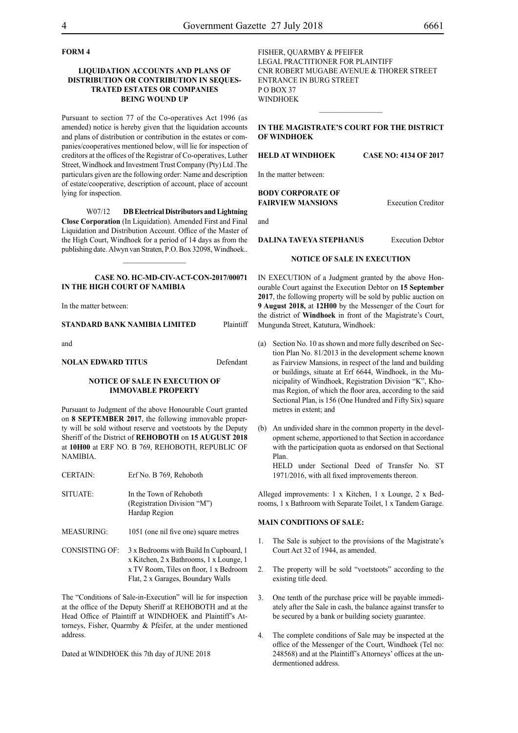#### **FORM 4**

#### **LIQUIDATION ACCOUNTS AND PLANS OF DISTRIBUTION OR CONTRIBUTION IN SEQUES-TRATED ESTATES OR COMPANIES BEING WOUND UP**

Pursuant to section 77 of the Co-operatives Act 1996 (as amended) notice is hereby given that the liquidation accounts and plans of distribution or contribution in the estates or companies/cooperatives mentioned below, will lie for inspection of creditors at the offices of the Registrar of Co-operatives, Luther Street, Windhoek and Investment Trust Company (Pty) Ltd .The particulars given are the following order: Name and description of estate/cooperative, description of account, place of account lying for inspection.

W07/12 **DB Electrical Distributors and Lightning Close Corporation** (In Liquidation). Amended First and Final Liquidation and Distribution Account. Office of the Master of the High Court, Windhoek for a period of 14 days as from the publishing date. Alwyn van Straten, P.O. Box 32098, Windhoek..

#### **CASE No. HC-MD-CIV-ACT-CON-2017/00071 IN THE HIGH COURT OF NAMIBIA**

In the matter between:

#### **STANDARD BANK NAMIBIA LIMITED** Plaintiff

and

#### **NOLAN EDWARD TITUS** Defendant

#### **NOTICE OF SALE IN EXECUTION OF IMMOVABLE PROPERTY**

Pursuant to Judgment of the above Honourable Court granted on **8 SEPTEMBER 2017**, the following immovable property will be sold without reserve and voetstoots by the Deputy Sheriff of the District of **REHOBOTH** on **15 AUGUST 2018** at **10H00** at ERF NO. B 769, REHOBOTH, REPUBLIC OF NAMIBIA.

| <b>CERTAIN:</b> | Erf No. B 769, Rehoboth |
|-----------------|-------------------------|
| SITUATE:        | In the Town of Rehoboth |

(Registration Division "M") Hardap Region

- MEASURING: 1051 (one nil five one) square metres
- CONSISTING OF: 3 x Bedrooms with Build In Cupboard, 1 x Kitchen, 2 x Bathrooms, 1 x Lounge, 1 x TV Room, Tiles on floor, 1 x Bedroom Flat, 2 x Garages, Boundary Walls

The "Conditions of Sale-in-Execution" will lie for inspection at the office of the Deputy Sheriff at REHOBOTH and at the Head Office of Plaintiff at WINDHOEK and Plaintiff's Attorneys, Fisher, Quarmby & Pfeifer, at the under mentioned address.

Dated at WINDHOEK this 7th day of JUNE 2018

FISHER, QUARMBY & PFEIFER LEGAL PRACTITIONER FOR Plaintiff Cnr Robert Mugabe Avenue & Thorer Street Entrance in Burg Street PO BOX 37 WINDHOEK  $\frac{1}{2}$ 

#### **IN THE MAGISTRATE'S COURT FOR THE DISTRICT OF WINDHOEK**

#### **HELD AT WINDHOEK CASE NO: 4134 OF 2017**

### In the matter between:

#### **BODY CORPORATE OF FAIRVIEW MANSIONS** Execution Creditor

and

#### **DALINA TAVEYA STEPHANUS** Execution Debtor

#### **NOTICE OF SALE IN EXECUTION**

IN EXECUTION of a Judgment granted by the above Honourable Court against the Execution Debtor on **15 September 2017**, the following property will be sold by public auction on **9 August 2018,** at **12H00** by the Messenger of the Court for the district of **Windhoek** in front of the Magistrate's Court, Mungunda Street, Katutura, Windhoek:

- (a) Section No. 10 as shown and more fully described on Section Plan No. 81/2013 in the development scheme known as Fairview Mansions, in respect of the land and building or buildings, situate at Erf 6644, Windhoek, in the Municipality of Windhoek, Registration Division "K", Khomas Region, of which the floor area, according to the said Sectional Plan, is 156 (One Hundred and Fifty Six) square metres in extent; and
- (b) An undivided share in the common property in the development scheme, apportioned to that Section in accordance with the participation quota as endorsed on that Sectional Plan.

HELD under Sectional Deed of Transfer No. ST 1971/2016, with all fixed improvements thereon.

Alleged improvements: 1 x Kitchen, 1 x Lounge, 2 x Bedrooms, 1 x Bathroom with Separate Toilet, 1 x Tandem Garage.

#### **MAIN CONDITIONS OF SALE:**

- 1. The Sale is subject to the provisions of the Magistrate's Court Act 32 of 1944, as amended.
- 2. The property will be sold "voetstoots" according to the existing title deed.
- 3. One tenth of the purchase price will be payable immediately after the Sale in cash, the balance against transfer to be secured by a bank or building society guarantee.
- 4. The complete conditions of Sale may be inspected at the office of the Messenger of the Court, Windhoek (Tel no: 248568) and at the Plaintiff's Attorneys' offices at the undermentioned address.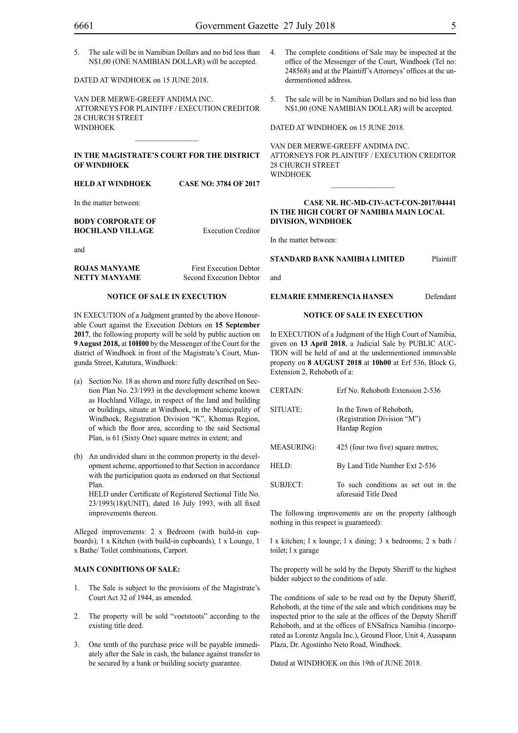5. The sale will be in Namibian Dollars and no bid less than N\$1,00 (ONE NAMIBIAN DOLLAR) will be accepted.

DATED AT WINDHOEK on 15 JUNE 2018.

VAN DER MERWE-GREEFF ANDIMA INC. ATTORNEYS FOR Plaintiff / EXECUTION CREDITOR 28 CHURCH STREET WINDHOEK

#### **IN THE MAGISTRATE'S COURT FOR THE DISTRICT OF WINDHOEK**

**HELD AT WINDHOEK CASE NO: 3784 OF 2017**

In the matter between:

#### **BODY CORPORATE OF HOCHLAND VILLAGE** Execution Creditor

and

**ROJAS MANYAME** First Execution Debtor **NETTY MANYAME** Second Execution Debtor

#### **NOTICE OF SALE IN EXECUTION**

IN EXECUTION of a Judgment granted by the above Honourable Court against the Execution Debtors on **15 September 2017**, the following property will be sold by public auction on **9 August 2018,** at **10H00** by the Messenger of the Court for the district of Windhoek in front of the Magistrate's Court, Mungunda Street, Katutura, Windhoek:

- (a) Section No. 18 as shown and more fully described on Section Plan No. 23/1993 in the development scheme known as Hochland Village, in respect of the land and building or buildings, situate at Windhoek, in the Municipality of Windhoek, Registration Division "K", Khomas Region, of which the floor area, according to the said Sectional Plan, is 61 (Sixty One) square metres in extent; and
- (b) An undivided share in the common property in the development scheme, apportioned to that Section in accordance with the participation quota as endorsed on that Sectional Plan.

HELD under Certificate of Registered Sectional Title No. 23/1993(18)(UNIT), dated 16 July 1993, with all fixed improvements thereon.

Alleged improvements: 2 x Bedroom (with build-in cupboards); 1 x Kitchen (with build-in cupboards), 1 x Lounge, 1 x Bathe/ Toilet combinations, Carport.

#### **MAIN CONDITIONS OF SALE:**

- 1. The Sale is subject to the provisions of the Magistrate's Court Act 32 of 1944, as amended.
- 2. The property will be sold "voetstoots" according to the existing title deed.
- 3. One tenth of the purchase price will be payable immediately after the Sale in cash, the balance against transfer to be secured by a bank or building society guarantee.
- 4. The complete conditions of Sale may be inspected at the office of the Messenger of the Court, Windhoek (Tel no: 248568) and at the Plaintiff's Attorneys' offices at the undermentioned address.
- 5. The sale will be in Namibian Dollars and no bid less than N\$1,00 (ONE NAMIBIAN DOLLAR) will be accepted.

DATED AT WINDHOEK on 15 JUNE 2018.

VAN DER MERWE-GREEFF ANDIMA INC. ATTORNEYS FOR Plaintiff / EXECUTION CREDITOR 28 CHURCH STREET WINDHOEK

#### **Case Nr. HC-MD-CIV-ACT-CON-2017/04441 IN THE HIGH COURT OF NAMIBIA MAIN LOCAL DIVISION, WINDHOEK**

In the matter between:

**STANDARD BANK NAMIBIA LIMITED** Plaintiff

and

#### **ELMARIE EMMERENCIA HANSEN** Defendant

#### **NOTICE OF SALE IN EXECUTION**

In EXECUTION of a Judgment of the High Court of Namibia, given on **13 April 2018**, a Judicial Sale by PUBLIC AUC-TION will be held of and at the undermentioned immovable property on **8 AUGUST 2018** at **10h00** at Erf 536, Block G, Extension 2, Rehoboth of a:

| <b>CERTAIN:</b>   | Erf No. Rehoboth Extension 2-536                                         |
|-------------------|--------------------------------------------------------------------------|
| SITUATE:          | In the Town of Rehoboth.<br>(Registration Division "M")<br>Hardap Region |
| <b>MEASURING:</b> | 425 (four two five) square metres;                                       |
| HELD:             | By Land Title Number Ext 2-536                                           |
| SUBJECT:          | To such conditions as set out in the<br>aforesaid Title Deed             |

The following improvements are on the property (although nothing in this respect is guaranteed):

l x kitchen; l x lounge; l x dining; 3 x bedrooms; 2 x bath / toilet; l x garage

The property will be sold by the Deputy Sheriff to the highest bidder subject to the conditions of sale.

The conditions of sale to be read out by the Deputy Sheriff, Rehoboth, at the time of the sale and which conditions may be inspected prior to the sale at the offices of the Deputy Sheriff Rehoboth, and at the offices of ENSafrica Namibia (incorporated as Lorentz Angula Inc.), Ground Floor, Unit 4, Ausspann Plaza, Dr. Agostinho Neto Road, Windhoek.

Dated at WINDHOEK on this 19th of JUNE 2018.